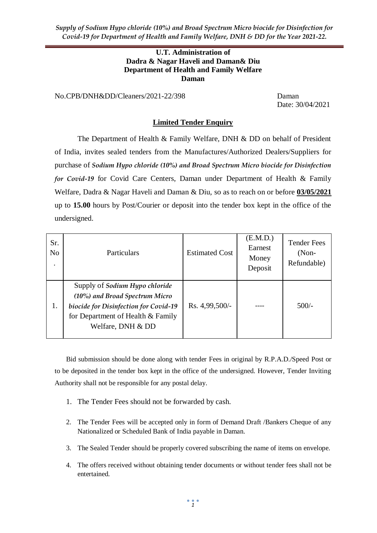*Supply of Sodium Hypo chloride (10%) and Broad Spectrum Micro biocide for Disinfection for Covid-19 for Department of Health and Family Welfare, DNH & DD for the Year 2021-22.*

#### **U.T. Administration of Dadra & Nagar Haveli and Daman& Diu Department of Health and Family Welfare Daman**

No.CPB/DNH&DD/Cleaners/2021-22/398 Daman

Date: 30/04/2021

#### **Limited Tender Enquiry**

The Department of Health & Family Welfare, DNH & DD on behalf of President of India, invites sealed tenders from the Manufactures/Authorized Dealers/Suppliers for purchase of *Sodium Hypo chloride (10%) and Broad Spectrum Micro biocide for Disinfection for Covid-19* for Covid Care Centers, Daman under Department of Health & Family Welfare, Dadra & Nagar Haveli and Daman & Diu, so as to reach on or before **03/05/2021** up to **15.00** hours by Post/Courier or deposit into the tender box kept in the office of the undersigned.

| Sr.<br>No | Particulars                                                                                                                                                         | <b>Estimated Cost</b> | (E.M.D.)<br>Earnest<br>Money<br>Deposit | <b>Tender Fees</b><br>$(Non-$<br>Refundable) |
|-----------|---------------------------------------------------------------------------------------------------------------------------------------------------------------------|-----------------------|-----------------------------------------|----------------------------------------------|
| 1.        | Supply of Sodium Hypo chloride<br>(10%) and Broad Spectrum Micro<br>biocide for Disinfection for Covid-19<br>for Department of Health & Family<br>Welfare, DNH & DD | Rs. 4,99,500/-        |                                         | $500/-$                                      |

Bid submission should be done along with tender Fees in original by R.P.A.D./Speed Post or to be deposited in the tender box kept in the office of the undersigned. However, Tender Inviting Authority shall not be responsible for any postal delay.

- 1. The Tender Fees should not be forwarded by cash.
- 2. The Tender Fees will be accepted only in form of Demand Draft /Bankers Cheque of any Nationalized or Scheduled Bank of India payable in Daman.
- 3. The Sealed Tender should be properly covered subscribing the name of items on envelope.
- 4. The offers received without obtaining tender documents or without tender fees shall not be entertained.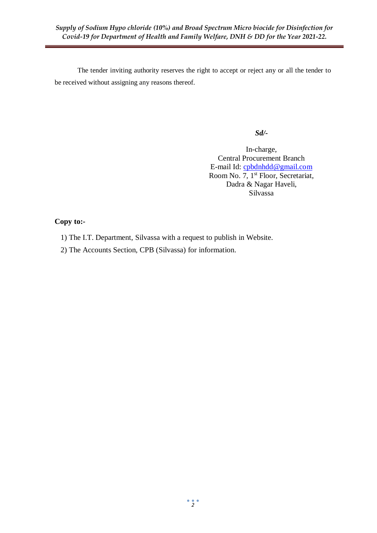The tender inviting authority reserves the right to accept or reject any or all the tender to be received without assigning any reasons thereof.

#### *Sd/-*

In-charge, Central Procurement Branch E-mail Id: [cpbdnhdd@gmail.com](mailto:cpbdnhdd@gmail.com) Room No. 7, 1<sup>st</sup> Floor, Secretariat, Dadra & Nagar Haveli, Silvassa

### **Copy to:-**

- 1) The I.T. Department, Silvassa with a request to publish in Website.
- 2) The Accounts Section, CPB (Silvassa) for information.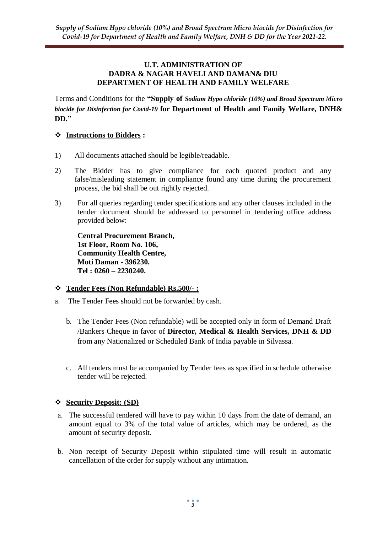#### **U.T. ADMINISTRATION OF DADRA & NAGAR HAVELI AND DAMAN& DIU DEPARTMENT OF HEALTH AND FAMILY WELFARE**

Terms and Conditions for the **"Supply of** *Sodium Hypo chloride (10%) and Broad Spectrum Micro biocide for Disinfection for Covid-19* **for Department of Health and Family Welfare, DNH& DD."**

## **Instructions to Bidders :**

- 1) All documents attached should be legible/readable.
- 2) The Bidder has to give compliance for each quoted product and any false/misleading statement in compliance found any time during the procurement process, the bid shall be out rightly rejected.
- 3) For all queries regarding tender specifications and any other clauses included in the tender document should be addressed to personnel in tendering office address provided below:

**Central Procurement Branch, 1st Floor, Room No. 106, Community Health Centre, Moti Daman - 396230. Tel : 0260 – 2230240.**

# **Tender Fees (Non Refundable) Rs.500/- :**

- a. The Tender Fees should not be forwarded by cash.
	- b. The Tender Fees (Non refundable) will be accepted only in form of Demand Draft /Bankers Cheque in favor of **Director, Medical & Health Services, DNH & DD**  from any Nationalized or Scheduled Bank of India payable in Silvassa.
	- c. All tenders must be accompanied by Tender fees as specified in schedule otherwise tender will be rejected.

# **Security Deposit: (SD)**

- a. The successful tendered will have to pay within 10 days from the date of demand, an amount equal to 3% of the total value of articles, which may be ordered, as the amount of security deposit.
- b. Non receipt of Security Deposit within stipulated time will result in automatic cancellation of the order for supply without any intimation.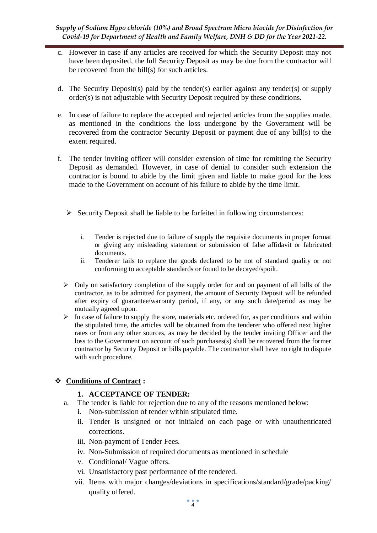*Supply of Sodium Hypo chloride (10%) and Broad Spectrum Micro biocide for Disinfection for Covid-19 for Department of Health and Family Welfare, DNH & DD for the Year 2021-22.*

- c. However in case if any articles are received for which the Security Deposit may not have been deposited, the full Security Deposit as may be due from the contractor will be recovered from the bill(s) for such articles.
- d. The Security Deposit(s) paid by the tender(s) earlier against any tender(s) or supply order(s) is not adjustable with Security Deposit required by these conditions.
- e. In case of failure to replace the accepted and rejected articles from the supplies made, as mentioned in the conditions the loss undergone by the Government will be recovered from the contractor Security Deposit or payment due of any bill(s) to the extent required.
- f. The tender inviting officer will consider extension of time for remitting the Security Deposit as demanded. However, in case of denial to consider such extension the contractor is bound to abide by the limit given and liable to make good for the loss made to the Government on account of his failure to abide by the time limit.
	- $\triangleright$  Security Deposit shall be liable to be forfeited in following circumstances:
		- i. Tender is rejected due to failure of supply the requisite documents in proper format or giving any misleading statement or submission of false affidavit or fabricated documents.
		- ii. Tenderer fails to replace the goods declared to be not of standard quality or not conforming to acceptable standards or found to be decayed/spoilt.
	- $\triangleright$  Only on satisfactory completion of the supply order for and on payment of all bills of the contractor, as to be admitted for payment, the amount of Security Deposit will be refunded after expiry of guarantee/warranty period, if any, or any such date/period as may be mutually agreed upon.
	- $\triangleright$  In case of failure to supply the store, materials etc. ordered for, as per conditions and within the stipulated time, the articles will be obtained from the tenderer who offered next higher rates or from any other sources, as may be decided by the tender inviting Officer and the loss to the Government on account of such purchases(s) shall be recovered from the former contractor by Security Deposit or bills payable. The contractor shall have no right to dispute with such procedure.

### **Conditions of Contract :**

### **1. ACCEPTANCE OF TENDER:**

- a. The tender is liable for rejection due to any of the reasons mentioned below:
	- i. Non-submission of tender within stipulated time.
	- ii. Tender is unsigned or not initialed on each page or with unauthenticated corrections.
	- iii. Non-payment of Tender Fees.
	- iv. Non-Submission of required documents as mentioned in schedule
	- v. Conditional/ Vague offers.
	- vi. Unsatisfactory past performance of the tendered.
	- vii. Items with major changes/deviations in specifications/standard/grade/packing/ quality offered.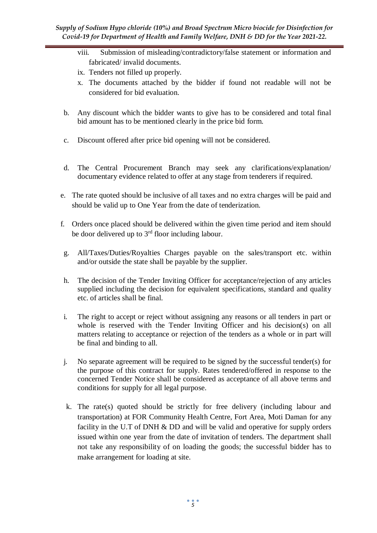- viii. Submission of misleading/contradictory/false statement or information and fabricated/ invalid documents.
- ix. Tenders not filled up properly.
- x. The documents attached by the bidder if found not readable will not be considered for bid evaluation.
- b. Any discount which the bidder wants to give has to be considered and total final bid amount has to be mentioned clearly in the price bid form.
- c. Discount offered after price bid opening will not be considered.
- d. The Central Procurement Branch may seek any clarifications/explanation/ documentary evidence related to offer at any stage from tenderers if required.
- e. The rate quoted should be inclusive of all taxes and no extra charges will be paid and should be valid up to One Year from the date of tenderization.
- f. Orders once placed should be delivered within the given time period and item should be door delivered up to  $3<sup>rd</sup>$  floor including labour.
- g. All/Taxes/Duties/Royalties Charges payable on the sales/transport etc. within and/or outside the state shall be payable by the supplier.
- h. The decision of the Tender Inviting Officer for acceptance/rejection of any articles supplied including the decision for equivalent specifications, standard and quality etc. of articles shall be final.
- i. The right to accept or reject without assigning any reasons or all tenders in part or whole is reserved with the Tender Inviting Officer and his decision(s) on all matters relating to acceptance or rejection of the tenders as a whole or in part will be final and binding to all.
- j. No separate agreement will be required to be signed by the successful tender(s) for the purpose of this contract for supply. Rates tendered/offered in response to the concerned Tender Notice shall be considered as acceptance of all above terms and conditions for supply for all legal purpose.
- k. The rate(s) quoted should be strictly for free delivery (including labour and transportation) at FOR Community Health Centre, Fort Area, Moti Daman for any facility in the U.T of DNH & DD and will be valid and operative for supply orders issued within one year from the date of invitation of tenders. The department shall not take any responsibility of on loading the goods; the successful bidder has to make arrangement for loading at site.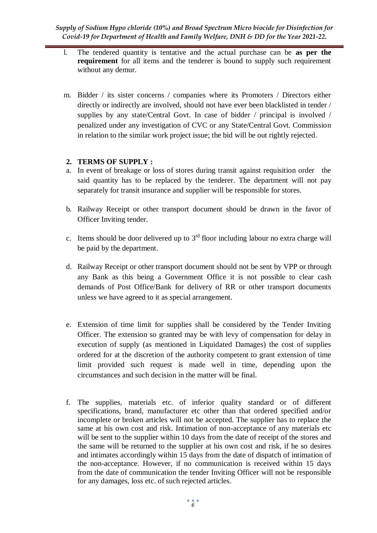*Supply of Sodium Hypo chloride (10%) and Broad Spectrum Micro biocide for Disinfection for Covid-19 for Department of Health and Family Welfare, DNH & DD for the Year 2021-22.*

- l. The tendered quantity is tentative and the actual purchase can be **as per the requirement** for all items and the tenderer is bound to supply such requirement without any demur.
- m. Bidder / its sister concerns / companies where its Promoters / Directors either directly or indirectly are involved, should not have ever been blacklisted in tender / supplies by any state/Central Govt. In case of bidder / principal is involved / penalized under any investigation of CVC or any State/Central Govt. Commission in relation to the similar work project issue; the bid will be out rightly rejected.

### **2. TERMS OF SUPPLY :**

- a. In event of breakage or loss of stores during transit against requisition order the said quantity has to be replaced by the tenderer. The department will not pay separately for transit insurance and supplier will be responsible for stores.
- b. Railway Receipt or other transport document should be drawn in the favor of Officer Inviting tender.
- c. Items should be door delivered up to  $3<sup>rd</sup>$  floor including labour no extra charge will be paid by the department.
- d. Railway Receipt or other transport document should not be sent by VPP or through any Bank as this being a Government Office it is not possible to clear cash demands of Post Office/Bank for delivery of RR or other transport documents unless we have agreed to it as special arrangement.
- e. Extension of time limit for supplies shall be considered by the Tender Inviting Officer. The extension so granted may be with levy of compensation for delay in execution of supply (as mentioned in Liquidated Damages) the cost of supplies ordered for at the discretion of the authority competent to grant extension of time limit provided such request is made well in time, depending upon the circumstances and such decision in the matter will be final.
- f. The supplies, materials etc. of inferior quality standard or of different specifications, brand, manufacturer etc other than that ordered specified and/or incomplete or broken articles will not be accepted. The supplier has to replace the same at his own cost and risk. Intimation of non-acceptance of any materials etc will be sent to the supplier within 10 days from the date of receipt of the stores and the same will be returned to the supplier at his own cost and risk, if he so desires and intimates accordingly within 15 days from the date of dispatch of intimation of the non-acceptance. However, if no communication is received within 15 days from the date of communication the tender Inviting Officer will not be responsible for any damages, loss etc. of such rejected articles.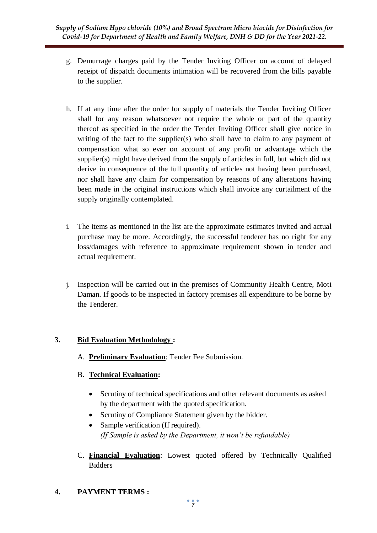- g. Demurrage charges paid by the Tender Inviting Officer on account of delayed receipt of dispatch documents intimation will be recovered from the bills payable to the supplier.
- h. If at any time after the order for supply of materials the Tender Inviting Officer shall for any reason whatsoever not require the whole or part of the quantity thereof as specified in the order the Tender Inviting Officer shall give notice in writing of the fact to the supplier(s) who shall have to claim to any payment of compensation what so ever on account of any profit or advantage which the supplier(s) might have derived from the supply of articles in full, but which did not derive in consequence of the full quantity of articles not having been purchased, nor shall have any claim for compensation by reasons of any alterations having been made in the original instructions which shall invoice any curtailment of the supply originally contemplated.
- i. The items as mentioned in the list are the approximate estimates invited and actual purchase may be more. Accordingly, the successful tenderer has no right for any loss/damages with reference to approximate requirement shown in tender and actual requirement.
- j. Inspection will be carried out in the premises of Community Health Centre, Moti Daman. If goods to be inspected in factory premises all expenditure to be borne by the Tenderer.

## **3. Bid Evaluation Methodology :**

- A. **Preliminary Evaluation**: Tender Fee Submission.
- B. **Technical Evaluation:** 
	- Scrutiny of technical specifications and other relevant documents as asked by the department with the quoted specification.
	- Scrutiny of Compliance Statement given by the bidder.
	- Sample verification (If required). *(If Sample is asked by the Department, it won't be refundable)*
- C. **Financial Evaluation**: Lowest quoted offered by Technically Qualified Bidders
- **4. PAYMENT TERMS :**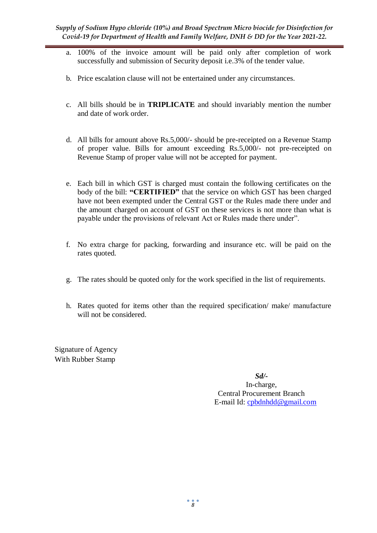- a. 100% of the invoice amount will be paid only after completion of work successfully and submission of Security deposit i.e.3% of the tender value.
- b. Price escalation clause will not be entertained under any circumstances.
- c. All bills should be in **TRIPLICATE** and should invariably mention the number and date of work order.
- d. All bills for amount above Rs.5,000/- should be pre-receipted on a Revenue Stamp of proper value. Bills for amount exceeding Rs.5,000/- not pre-receipted on Revenue Stamp of proper value will not be accepted for payment.
- e. Each bill in which GST is charged must contain the following certificates on the body of the bill: **"CERTIFIED"** that the service on which GST has been charged have not been exempted under the Central GST or the Rules made there under and the amount charged on account of GST on these services is not more than what is payable under the provisions of relevant Act or Rules made there under".
- f. No extra charge for packing, forwarding and insurance etc. will be paid on the rates quoted.
- g. The rates should be quoted only for the work specified in the list of requirements.
- h. Rates quoted for items other than the required specification/ make/ manufacture will not be considered.

Signature of Agency With Rubber Stamp

> *Sd/-* In-charge, Central Procurement Branch E-mail Id: [cpbdnhdd@gmail.com](mailto:cpbdnhdd@gmail.com)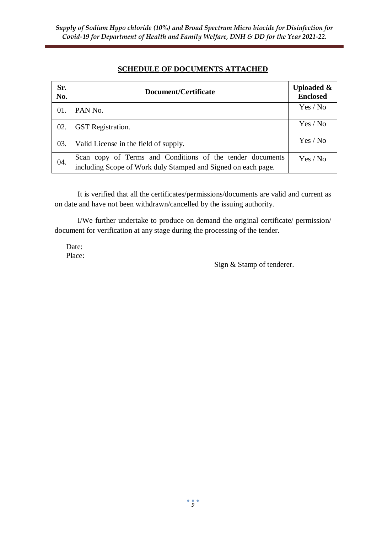# **SCHEDULE OF DOCUMENTS ATTACHED**

| Sr.<br>No. | Document/Certificate                                                                                                       | <b>Uploaded &amp;</b><br><b>Enclosed</b> |
|------------|----------------------------------------------------------------------------------------------------------------------------|------------------------------------------|
| 01.        | PAN No.                                                                                                                    | Yes / No                                 |
| 02.        | <b>GST</b> Registration.                                                                                                   | Yes / No                                 |
| 03.        | Valid License in the field of supply.                                                                                      | Yes / No                                 |
| 04.        | Scan copy of Terms and Conditions of the tender documents<br>including Scope of Work duly Stamped and Signed on each page. | Yes / No                                 |

It is verified that all the certificates/permissions/documents are valid and current as on date and have not been withdrawn/cancelled by the issuing authority.

I/We further undertake to produce on demand the original certificate/ permission/ document for verification at any stage during the processing of the tender.

Date: Place:

Sign & Stamp of tenderer.